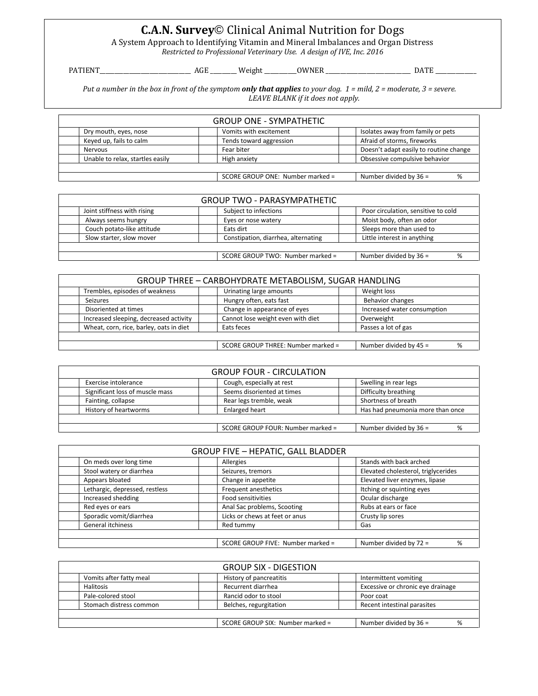## **C.A.N. Survey**© Clinical Animal Nutrition for Dogs

A System Approach to Identifying Vitamin and Mineral Imbalances and Organ Distress

*Restricted to Professional Veterinary Use. A design of IVE, Inc. 2016*

PATIENT\_\_\_\_\_\_\_\_\_\_\_\_\_\_\_\_\_\_\_\_\_\_\_\_\_\_\_\_\_\_\_ AGE \_\_\_\_\_\_\_\_\_ Weight \_\_\_\_\_\_\_\_\_\_\_OWNER \_\_\_\_\_\_\_\_\_\_\_\_\_\_\_\_\_\_\_\_\_\_\_\_\_\_\_\_\_ DATE \_\_\_\_\_\_\_\_\_\_\_\_\_\_

*Put a number in the box in front of the symptom only that applies to your dog. 1 = mild, 2 = moderate, 3 = severe. LEAVE BLANK if it does not apply.*

| <b>GROUP ONE - SYMPATHETIC</b>                                    |                         |                                        |  |  |  |
|-------------------------------------------------------------------|-------------------------|----------------------------------------|--|--|--|
| Dry mouth, eyes, nose                                             | Vomits with excitement  | Isolates away from family or pets      |  |  |  |
| Keyed up, fails to calm                                           | Tends toward aggression | Afraid of storms, fireworks            |  |  |  |
| Nervous                                                           | Fear biter              | Doesn't adapt easily to routine change |  |  |  |
| Unable to relax, startles easily                                  | High anxiety            | Obsessive compulsive behavior          |  |  |  |
|                                                                   |                         |                                        |  |  |  |
| Number divided by $36 =$<br>SCORE GROUP ONE: Number marked =<br>% |                         |                                        |  |  |  |

| <b>GROUP TWO - PARASYMPATHETIC</b>                                |  |                                     |                                     |  |  |
|-------------------------------------------------------------------|--|-------------------------------------|-------------------------------------|--|--|
| Joint stiffness with rising                                       |  | Subject to infections               | Poor circulation, sensitive to cold |  |  |
| Always seems hungry                                               |  | Eyes or nose watery                 | Moist body, often an odor           |  |  |
| Couch potato-like attitude                                        |  | Eats dirt                           | Sleeps more than used to            |  |  |
| Slow starter, slow mover                                          |  | Constipation, diarrhea, alternating | Little interest in anything         |  |  |
|                                                                   |  |                                     |                                     |  |  |
| Number divided by $36 =$<br>SCORE GROUP TWO: Number marked =<br>% |  |                                     |                                     |  |  |

|  | GROUP THREE - CARBOHYDRATE METABOLISM, SUGAR HANDLING               |  |                                   |  |                             |  |
|--|---------------------------------------------------------------------|--|-----------------------------------|--|-----------------------------|--|
|  | Trembles, episodes of weakness                                      |  | Urinating large amounts           |  | Weight loss                 |  |
|  | Seizures                                                            |  | Hungry often, eats fast           |  | Behavior changes            |  |
|  | Disoriented at times                                                |  | Change in appearance of eyes      |  | Increased water consumption |  |
|  | Increased sleeping, decreased activity                              |  | Cannot lose weight even with diet |  | Overweight                  |  |
|  | Wheat, corn, rice, barley, oats in diet                             |  | Eats feces                        |  | Passes a lot of gas         |  |
|  |                                                                     |  |                                   |  |                             |  |
|  | SCORE GROUP THREE: Number marked =<br>Number divided by $45 =$<br>% |  |                                   |  |                             |  |

| <b>GROUP FOUR - CIRCULATION</b>                               |                            |                                  |  |  |  |
|---------------------------------------------------------------|----------------------------|----------------------------------|--|--|--|
| Exercise intolerance                                          | Cough, especially at rest  | Swelling in rear legs            |  |  |  |
| Significant loss of muscle mass                               | Seems disoriented at times | Difficulty breathing             |  |  |  |
| Fainting, collapse                                            | Rear legs tremble, weak    | Shortness of breath              |  |  |  |
| History of heartworms                                         | Enlarged heart             | Has had pneumonia more than once |  |  |  |
|                                                               |                            |                                  |  |  |  |
| Number divided by $36 =$<br>SCORE GROUP FOUR: Number marked = |                            |                                  |  |  |  |

| <b>GROUP FIVE - HEPATIC, GALL BLADDER</b> |                                   |                                     |  |  |  |
|-------------------------------------------|-----------------------------------|-------------------------------------|--|--|--|
| On meds over long time                    | Allergies                         | Stands with back arched             |  |  |  |
| Stool watery or diarrhea                  | Seizures, tremors                 | Elevated cholesterol, triglycerides |  |  |  |
| Appears bloated                           | Change in appetite                | Elevated liver enzymes, lipase      |  |  |  |
| Lethargic, depressed, restless            | Frequent anesthetics              | Itching or squinting eyes           |  |  |  |
| Increased shedding                        | Food sensitivities                | Ocular discharge                    |  |  |  |
| Red eyes or ears                          | Anal Sac problems, Scooting       | Rubs at ears or face                |  |  |  |
| Sporadic vomit/diarrhea                   | Licks or chews at feet or anus    | Crusty lip sores                    |  |  |  |
| General itchiness                         | Red tummy                         | Gas                                 |  |  |  |
|                                           |                                   |                                     |  |  |  |
|                                           | SCORE GROUP FIVE: Number marked = | Number divided by $72 =$<br>%       |  |  |  |

|                                                                   | <b>GROUP SIX - DIGESTION</b> |                                   |
|-------------------------------------------------------------------|------------------------------|-----------------------------------|
| Vomits after fatty meal                                           | History of pancreatitis      | Intermittent vomiting             |
| Halitosis                                                         | Recurrent diarrhea           | Excessive or chronic eye drainage |
| Pale-colored stool                                                | Rancid odor to stool         | Poor coat                         |
| Stomach distress common                                           | Belches, regurgitation       | Recent intestinal parasites       |
|                                                                   |                              |                                   |
| SCORE GROUP SIX: Number marked =<br>Number divided by $36 =$<br>% |                              |                                   |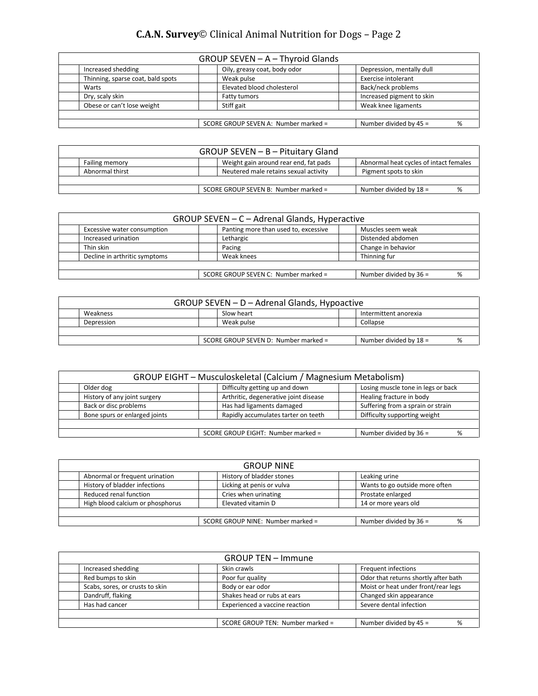| GROUP SEVEN - A - Thyroid Glands                                      |                              |                           |  |  |  |
|-----------------------------------------------------------------------|------------------------------|---------------------------|--|--|--|
| Increased shedding                                                    | Oily, greasy coat, body odor | Depression, mentally dull |  |  |  |
| Thinning, sparse coat, bald spots                                     | Weak pulse                   | Exercise intolerant       |  |  |  |
| Warts                                                                 | Elevated blood cholesterol   | Back/neck problems        |  |  |  |
| Dry, scaly skin                                                       | Fatty tumors                 | Increased pigment to skin |  |  |  |
| Obese or can't lose weight                                            | Stiff gait                   | Weak knee ligaments       |  |  |  |
|                                                                       |                              |                           |  |  |  |
| Number divided by $45 =$<br>SCORE GROUP SEVEN A: Number marked =<br>% |                              |                           |  |  |  |

| GROUP SEVEN - B - Pituitary Gland                                                                        |                                                                  |  |                                       |  |                       |
|----------------------------------------------------------------------------------------------------------|------------------------------------------------------------------|--|---------------------------------------|--|-----------------------|
| Weight gain around rear end, fat pads<br>Abnormal heat cycles of intact females<br><b>Failing memory</b> |                                                                  |  |                                       |  |                       |
|                                                                                                          | Abnormal thirst                                                  |  | Neutered male retains sexual activity |  | Pigment spots to skin |
|                                                                                                          |                                                                  |  |                                       |  |                       |
|                                                                                                          | Number divided by $18 =$<br>SCORE GROUP SEVEN B: Number marked = |  |                                       |  |                       |

| GROUP SEVEN - C - Adrenal Glands, Hyperactive                       |  |                                      |  |                    |  |
|---------------------------------------------------------------------|--|--------------------------------------|--|--------------------|--|
| Excessive water consumption                                         |  | Panting more than used to, excessive |  | Muscles seem weak  |  |
| Increased urination                                                 |  | Lethargic                            |  | Distended abdomen  |  |
| Thin skin                                                           |  | Pacing                               |  | Change in behavior |  |
| Decline in arthritic symptoms                                       |  | Weak knees                           |  | Thinning fur       |  |
|                                                                     |  |                                      |  |                    |  |
| Number divided by 36 =<br>SCORE GROUP SEVEN C: Number marked =<br>% |  |                                      |  |                    |  |

| GROUP SEVEN - D - Adrenal Glands, Hypoactive |                                                                    |  |            |  |          |  |
|----------------------------------------------|--------------------------------------------------------------------|--|------------|--|----------|--|
|                                              | Slow heart<br>Weakness<br>Intermittent anorexia                    |  |            |  |          |  |
|                                              | Depression                                                         |  | Weak pulse |  | Collapse |  |
|                                              |                                                                    |  |            |  |          |  |
|                                              | Number divided by $18 =$<br>SCORE GROUP SEVEN D: Number marked $=$ |  |            |  |          |  |

| GROUP EIGHT - Musculoskeletal (Calcium / Magnesium Metabolism)                    |                                       |                                   |  |  |
|-----------------------------------------------------------------------------------|---------------------------------------|-----------------------------------|--|--|
| Losing muscle tone in legs or back<br>Difficulty getting up and down<br>Older dog |                                       |                                   |  |  |
| History of any joint surgery                                                      | Arthritic, degenerative joint disease | Healing fracture in body          |  |  |
| Back or disc problems                                                             | Has had ligaments damaged             | Suffering from a sprain or strain |  |  |
| Bone spurs or enlarged joints                                                     | Rapidly accumulates tarter on teeth   | Difficulty supporting weight      |  |  |
|                                                                                   |                                       |                                   |  |  |
| Number divided by $36 =$<br>SCORE GROUP EIGHT: Number marked =                    |                                       |                                   |  |  |

|                                                               | <b>GROUP NINE</b>         |                                |  |  |  |
|---------------------------------------------------------------|---------------------------|--------------------------------|--|--|--|
| Abnormal or frequent urination                                | History of bladder stones | Leaking urine                  |  |  |  |
| History of bladder infections                                 | Licking at penis or vulva | Wants to go outside more often |  |  |  |
| Reduced renal function                                        | Cries when urinating      | Prostate enlarged              |  |  |  |
| High blood calcium or phosphorus                              | Elevated vitamin D        | 14 or more years old           |  |  |  |
|                                                               |                           |                                |  |  |  |
| SCORE GROUP NINE: Number marked =<br>Number divided by $36 =$ |                           |                                |  |  |  |

|                                 | <b>GROUP TEN - Immune</b>        |                                      |
|---------------------------------|----------------------------------|--------------------------------------|
| Increased shedding              | Skin crawls                      | Frequent infections                  |
| Red bumps to skin               | Poor fur quality                 | Odor that returns shortly after bath |
| Scabs, sores, or crusts to skin | Body or ear odor                 | Moist or heat under front/rear legs  |
| Dandruff, flaking               | Shakes head or rubs at ears      | Changed skin appearance              |
| Has had cancer                  | Experienced a vaccine reaction   | Severe dental infection              |
|                                 |                                  |                                      |
|                                 | SCORE GROUP TEN: Number marked = | Number divided by $45 =$<br>%        |